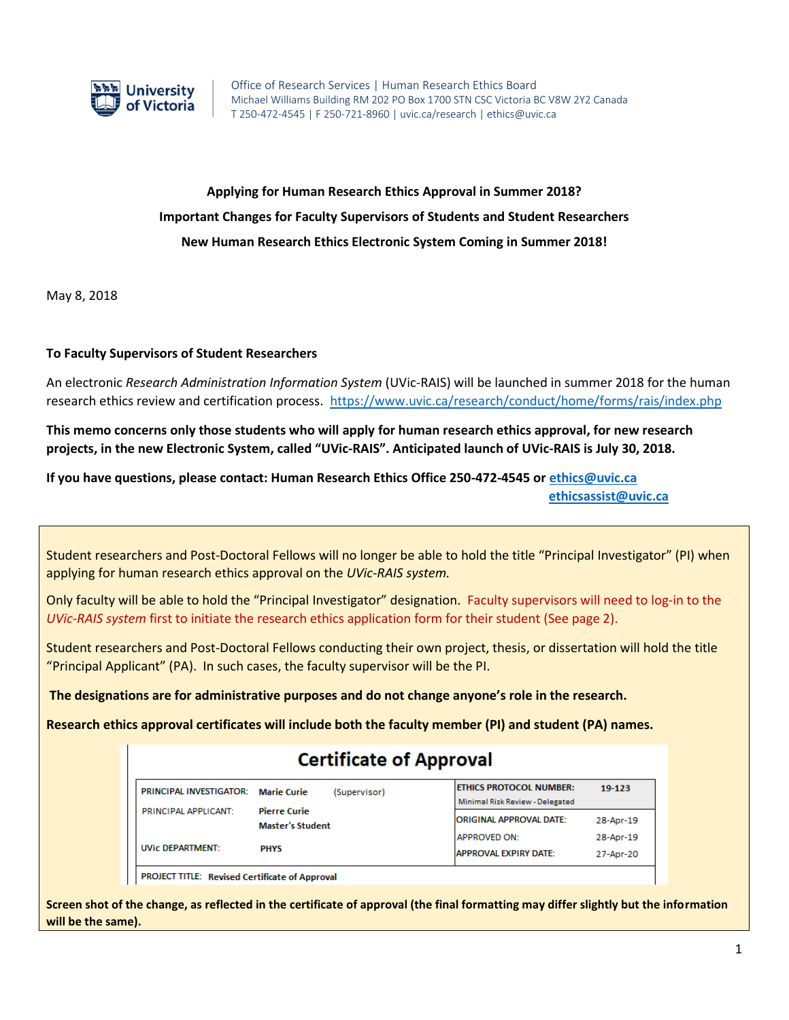

# **Applying for Human Research Ethics Approval in Summer 2018? Important Changes for Faculty Supervisors of Students and Student Researchers New Human Research Ethics Electronic System Coming in Summer 2018!**

May 8, 2018

## **To Faculty Supervisors of Student Researchers**

An electronic *Research Administration Information System* (UVic-RAIS) will be launched in summer 2018 for the human research ethics review and certification process. <https://www.uvic.ca/research/conduct/home/forms/rais/index.php>

**This memo concerns only those students who will apply for human research ethics approval, for new research projects, in the new Electronic System, called "UVic-RAIS". Anticipated launch of UVic-RAIS is July 30, 2018.** 

**If you have questions, please contact: Human Research Ethics Office 250-472-4545 or [ethics@uvic.ca](mailto:ethics@uvic.ca)  [ethicsassist@uvic.ca](mailto:ethicsassist@uvic.ca)**

Student researchers and Post-Doctoral Fellows will no longer be able to hold the title "Principal Investigator" (PI) when applying for human research ethics approval on the *UVic-RAIS system.* 

Only faculty will be able to hold the "Principal Investigator" designation. Faculty supervisors will need to log-in to the *UVic-RAIS system* first to initiate the research ethics application form for their student (See page 2).

Student researchers and Post-Doctoral Fellows conducting their own project, thesis, or dissertation will hold the title "Principal Applicant" (PA). In such cases, the faculty supervisor will be the PI.

**The designations are for administrative purposes and do not change anyone's role in the research.**

**Research ethics approval certificates will include both the faculty member (PI) and student (PA) names.** 

## **Certificate of Approval**

| <b>PRINCIPAL INVESTIGATOR: Marie Curie</b> | <b>Pierre Curie</b><br><b>Master's Student</b> | (Supervisor) | <b>ETHICS PROTOCOL NUMBER:</b><br>Minimal Risk Review - Delegated | 19-123                 |
|--------------------------------------------|------------------------------------------------|--------------|-------------------------------------------------------------------|------------------------|
| <b>PRINCIPAL APPLICANT:</b>                |                                                |              | <b>ORIGINAL APPROVAL DATE:</b><br><b>APPROVED ON:</b>             | 28-Apr-19<br>28-Apr-19 |
| <b>UVic DEPARTMENT:</b>                    | <b>PHYS</b>                                    |              | <b>APPROVAL EXPIRY DATE:</b>                                      | 27-Apr-20              |

PROJECT TITLE: Revised Certificate of Approval

**Screen shot of the change, as reflected in the certificate of approval (the final formatting may differ slightly but the information will be the same).**